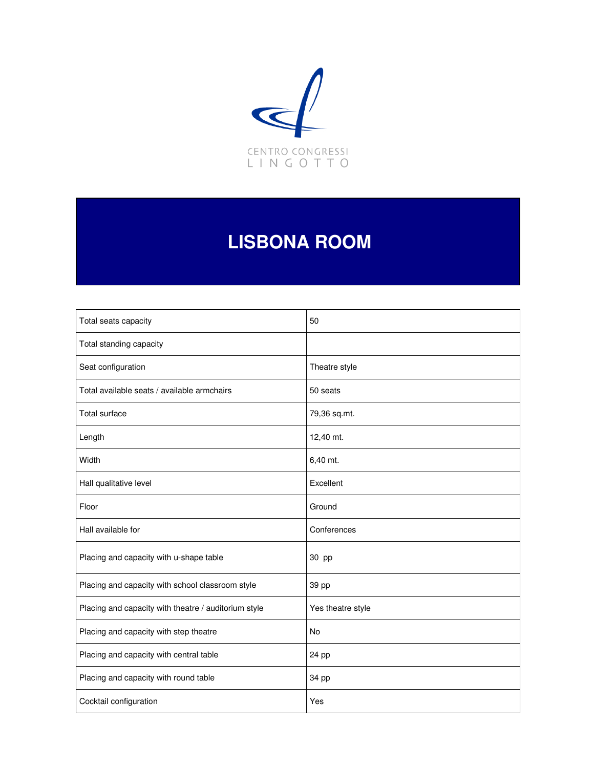

# **LISBONA ROOM**

| Total seats capacity                                 | 50                |
|------------------------------------------------------|-------------------|
| Total standing capacity                              |                   |
| Seat configuration                                   | Theatre style     |
| Total available seats / available armchairs          | 50 seats          |
| <b>Total surface</b>                                 | 79,36 sq.mt.      |
| Length                                               | 12,40 mt.         |
| Width                                                | 6,40 mt.          |
| Hall qualitative level                               | Excellent         |
| Floor                                                | Ground            |
| Hall available for                                   | Conferences       |
| Placing and capacity with u-shape table              | 30 pp             |
| Placing and capacity with school classroom style     | 39 pp             |
| Placing and capacity with theatre / auditorium style | Yes theatre style |
| Placing and capacity with step theatre               | No                |
| Placing and capacity with central table              | 24 pp             |
| Placing and capacity with round table                | 34 pp             |
| Cocktail configuration                               | Yes               |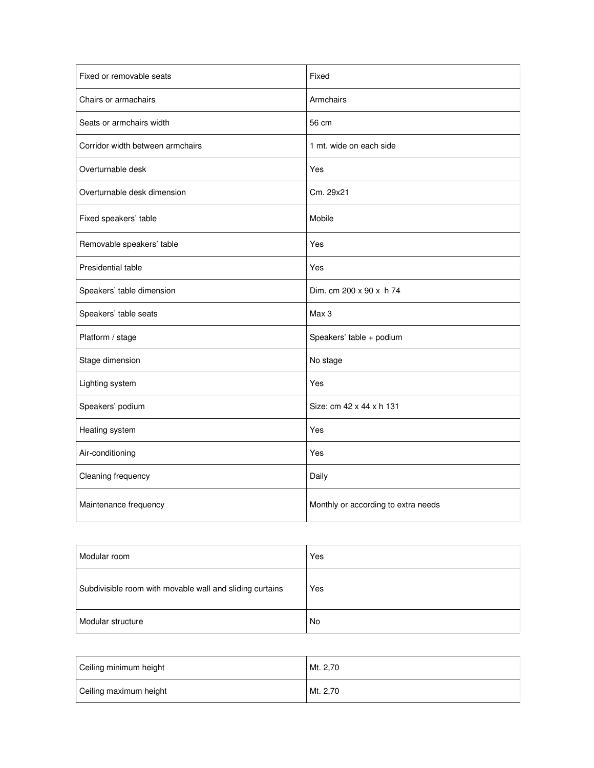| Fixed or removable seats         | Fixed                               |
|----------------------------------|-------------------------------------|
| Chairs or armachairs             | Armchairs                           |
| Seats or armchairs width         | 56 cm                               |
| Corridor width between armchairs | 1 mt. wide on each side             |
| Overturnable desk                | Yes                                 |
| Overturnable desk dimension      | Cm. 29x21                           |
| Fixed speakers' table            | Mobile                              |
| Removable speakers' table        | Yes                                 |
| Presidential table               | Yes                                 |
| Speakers' table dimension        | Dim. cm 200 x 90 x h 74             |
| Speakers' table seats            | Max 3                               |
| Platform / stage                 | Speakers' table + podium            |
| Stage dimension                  | No stage                            |
| Lighting system                  | Yes                                 |
| Speakers' podium                 | Size: cm 42 x 44 x h 131            |
| Heating system                   | Yes                                 |
| Air-conditioning                 | Yes                                 |
| Cleaning frequency               | Daily                               |
| Maintenance frequency            | Monthly or according to extra needs |

| Modular room                                             | Yes |
|----------------------------------------------------------|-----|
| Subdivisible room with movable wall and sliding curtains | Yes |
| Modular structure                                        | No  |

| Ceiling minimum height | Mt. 2,70 |
|------------------------|----------|
| Ceiling maximum height | Mt. 2,70 |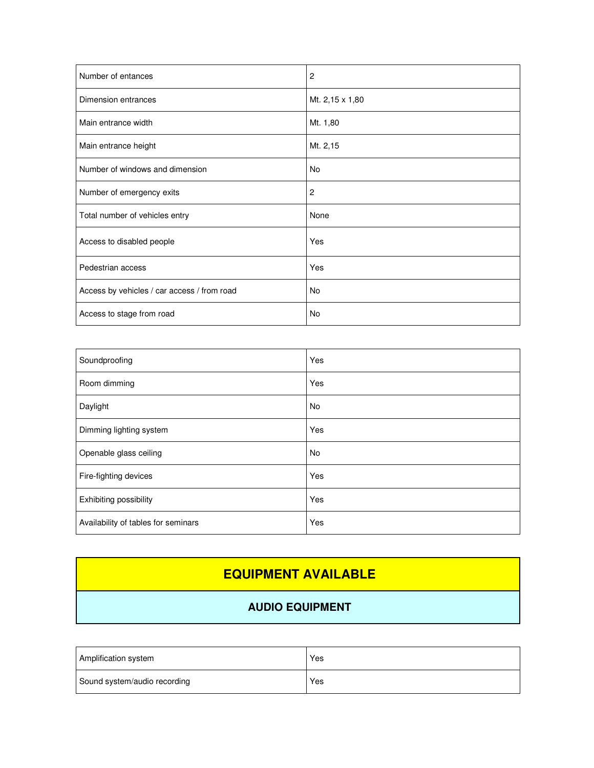| Number of entances                          | $\overline{c}$  |
|---------------------------------------------|-----------------|
| Dimension entrances                         | Mt. 2,15 x 1,80 |
| Main entrance width                         | Mt. 1,80        |
| Main entrance height                        | Mt. 2,15        |
| Number of windows and dimension             | No              |
| Number of emergency exits                   | $\overline{c}$  |
| Total number of vehicles entry              | None            |
| Access to disabled people                   | Yes             |
| Pedestrian access                           | Yes             |
| Access by vehicles / car access / from road | No              |
| Access to stage from road                   | No              |

| Soundproofing                       | Yes       |
|-------------------------------------|-----------|
| Room dimming                        | Yes       |
| Daylight                            | <b>No</b> |
| Dimming lighting system             | Yes       |
| Openable glass ceiling              | <b>No</b> |
| Fire-fighting devices               | Yes       |
| Exhibiting possibility              | Yes       |
| Availability of tables for seminars | Yes       |

### **EQUIPMENT AVAILABLE**

#### **AUDIO EQUIPMENT**

| Amplification system         | Yes |
|------------------------------|-----|
| Sound system/audio recording | Yes |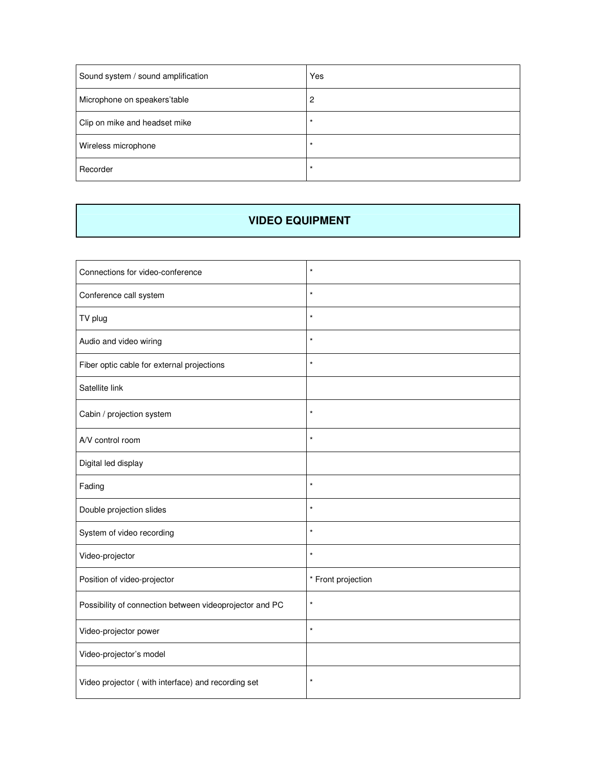| Sound system / sound amplification | Yes      |
|------------------------------------|----------|
| Microphone on speakers'table       | 2        |
| Clip on mike and headset mike      | $^\star$ |
| Wireless microphone                |          |
| Recorder                           | $\star$  |

#### **VIDEO EQUIPMENT**

| Connections for video-conference                        | $\star$            |
|---------------------------------------------------------|--------------------|
| Conference call system                                  | $\star$            |
| TV plug                                                 | $\star$            |
| Audio and video wiring                                  | $\star$            |
| Fiber optic cable for external projections              | $\star$            |
| Satellite link                                          |                    |
| Cabin / projection system                               | $\star$            |
| A/V control room                                        | $\star$            |
| Digital led display                                     |                    |
| Fading                                                  | $\star$            |
| Double projection slides                                | $^\star$           |
| System of video recording                               | $\star$            |
| Video-projector                                         | $\star$            |
| Position of video-projector                             | * Front projection |
| Possibility of connection between videoprojector and PC | $\star$            |
| Video-projector power                                   | $\star$            |
| Video-projector's model                                 |                    |
| Video projector (with interface) and recording set      | $\star$            |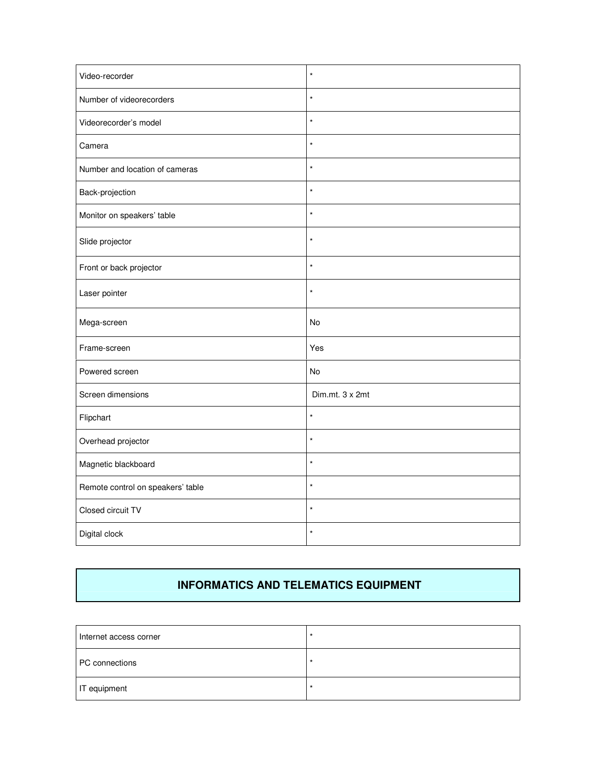| Video-recorder                    | $\star$         |
|-----------------------------------|-----------------|
| Number of videorecorders          | $\star$         |
| Videorecorder's model             | $\star$         |
| Camera                            | $\star$         |
| Number and location of cameras    | $\star$         |
| Back-projection                   | $\star$         |
| Monitor on speakers' table        | $\star$         |
| Slide projector                   | $\star$         |
| Front or back projector           | $\star$         |
| Laser pointer                     | $\star$         |
| Mega-screen                       | No              |
| Frame-screen                      | Yes             |
| Powered screen                    | No              |
| Screen dimensions                 | Dim.mt. 3 x 2mt |
| Flipchart                         | $\star$         |
| Overhead projector                | $\star$         |
| Magnetic blackboard               | $\star$         |
| Remote control on speakers' table | $\star$         |
| Closed circuit TV                 | $\star$         |
| Digital clock                     | $\star$         |

#### **INFORMATICS AND TELEMATICS EQUIPMENT**

| Internet access corner | $\star$ |
|------------------------|---------|
| PC connections         | $\star$ |
| IT equipment           | $\star$ |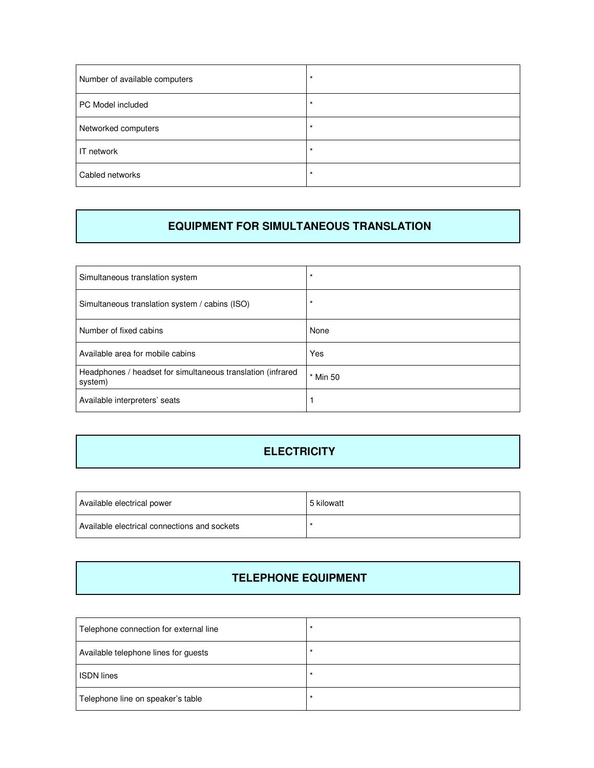| Number of available computers | $\star$ |
|-------------------------------|---------|
| PC Model included             | $\star$ |
| Networked computers           | $\star$ |
| IT network                    | $\star$ |
| Cabled networks               | $\star$ |

#### **EQUIPMENT FOR SIMULTANEOUS TRANSLATION**

| Simultaneous translation system                                        | $\star$       |
|------------------------------------------------------------------------|---------------|
| Simultaneous translation system / cabins (ISO)                         | $\star$       |
| Number of fixed cabins                                                 | None          |
| Available area for mobile cabins                                       | Yes           |
| Headphones / headset for simultaneous translation (infrared<br>system) | <b>Min 50</b> |
| Available interpreters' seats                                          |               |

#### **ELECTRICITY**

| Available electrical power                   | 5 kilowatt |
|----------------------------------------------|------------|
| Available electrical connections and sockets |            |

#### **TELEPHONE EQUIPMENT**

| Telephone connection for external line | $\star$ |
|----------------------------------------|---------|
| Available telephone lines for guests   | $\star$ |
| <b>ISDN</b> lines                      | $\star$ |
| Telephone line on speaker's table      | $\star$ |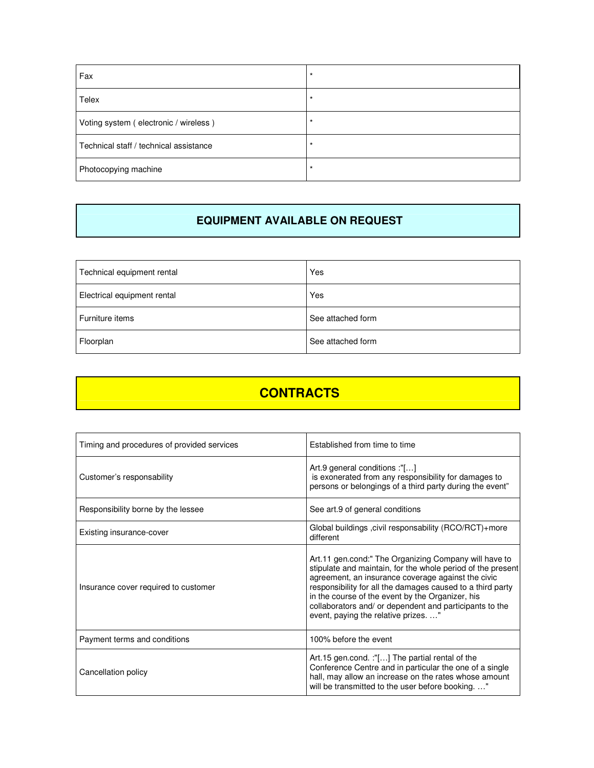| Fax                                    | $\star$ |
|----------------------------------------|---------|
| Telex                                  |         |
| Voting system (electronic / wireless)  | $\star$ |
| Technical staff / technical assistance |         |
| Photocopying machine                   | $\star$ |

#### **EQUIPMENT AVAILABLE ON REQUEST**

| Technical equipment rental  | Yes               |
|-----------------------------|-------------------|
| Electrical equipment rental | Yes               |
| Furniture items             | See attached form |
| Floorplan                   | See attached form |

## **CONTRACTS**

| Timing and procedures of provided services | Established from time to time                                                                                                                                                                                                                                                                                                                                                                 |
|--------------------------------------------|-----------------------------------------------------------------------------------------------------------------------------------------------------------------------------------------------------------------------------------------------------------------------------------------------------------------------------------------------------------------------------------------------|
| Customer's responsability                  | Art.9 general conditions :"[]<br>is exonerated from any responsibility for damages to<br>persons or belongings of a third party during the event"                                                                                                                                                                                                                                             |
| Responsibility borne by the lessee         | See art.9 of general conditions                                                                                                                                                                                                                                                                                                                                                               |
| Existing insurance-cover                   | Global buildings , civil responsability (RCO/RCT)+more<br>different                                                                                                                                                                                                                                                                                                                           |
| Insurance cover required to customer       | Art.11 gen.cond:" The Organizing Company will have to<br>stipulate and maintain, for the whole period of the present<br>agreement, an insurance coverage against the civic<br>responsibility for all the damages caused to a third party<br>in the course of the event by the Organizer, his<br>collaborators and/ or dependent and participants to the<br>event, paying the relative prizes" |
| Payment terms and conditions               | 100% before the event                                                                                                                                                                                                                                                                                                                                                                         |
| Cancellation policy                        | Art.15 gen.cond. :"[] The partial rental of the<br>Conference Centre and in particular the one of a single<br>hall, may allow an increase on the rates whose amount<br>will be transmitted to the user before booking"                                                                                                                                                                        |